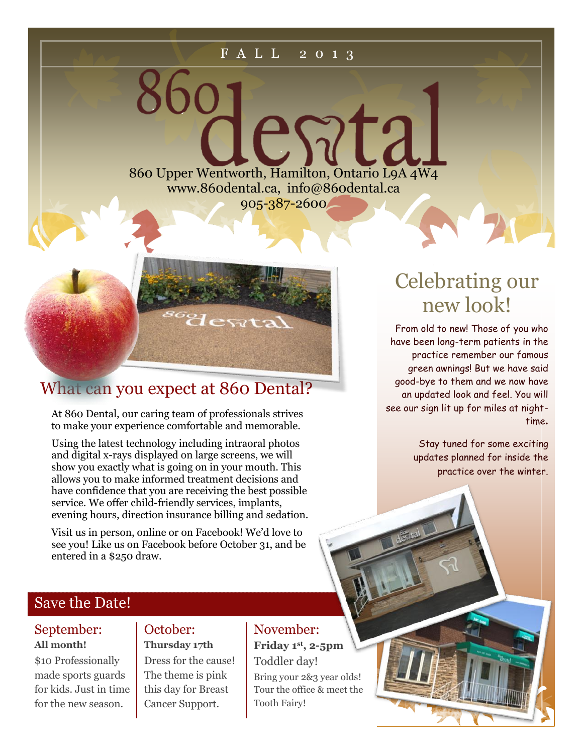#### F A L L 2 0 1 3

ES717 860 Upper Wentworth, Hamilton, Ontario L9A 4W4 www.860dental.ca, info@860dental.ca 905-387-2600



### What can you expect at 860 Dental?

At 860 Dental, our caring team of professionals strives to make your experience comfortable and memorable.

Using the latest technology including intraoral photos and digital x-rays displayed on large screens, we will show you exactly what is going on in your mouth. This allows you to make informed treatment decisions and have confidence that you are receiving the best possible service. We offer child-friendly services, implants, evening hours, direction insurance billing and sedation.

Visit us in person, online or on Facebook! We'd love to see you! Like us on Facebook before October 31, and be entered in a \$250 draw.

### Save the Date!

#### September: **All month!**

\$10 Professionally made sports guards for kids. Just in time for the new season.

#### October: **Thursday 17th**

Dress for the cause! The theme is pink this day for Breast Cancer Support.

### November:

**Friday 1st , 2-5pm** Toddler day! Bring your 2&3 year olds! Tour the office & meet the Tooth Fairy!

# Celebrating our new look!

From old to new! Those of you who have been long-term patients in the practice remember our famous green awnings! But we have said good-bye to them and we now have an updated look and feel. You will see our sign lit up for miles at nighttime**.** 

> Stay tuned for some exciting updates planned for inside the practice over the winter.